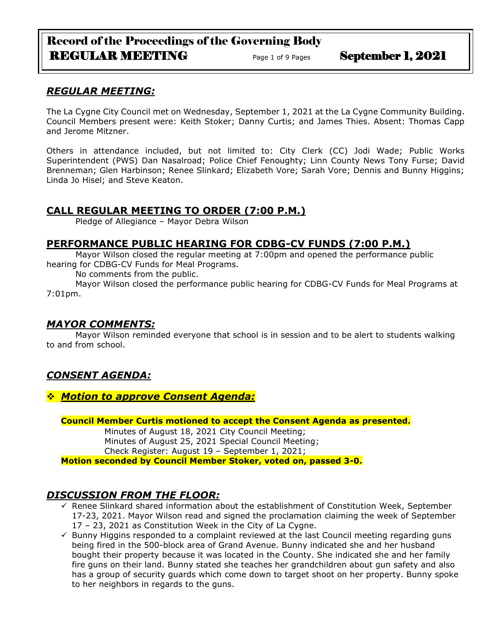# Record of the Proceedings of the Governing Body REGULAR MEETING Page 1 of 9 Pages September 1, 2021

# *REGULAR MEETING:*

The La Cygne City Council met on Wednesday, September 1, 2021 at the La Cygne Community Building. Council Members present were: Keith Stoker; Danny Curtis; and James Thies. Absent: Thomas Capp and Jerome Mitzner.

Others in attendance included, but not limited to: City Clerk (CC) Jodi Wade; Public Works Superintendent (PWS) Dan Nasalroad; Police Chief Fenoughty; Linn County News Tony Furse; David Brenneman; Glen Harbinson; Renee Slinkard; Elizabeth Vore; Sarah Vore; Dennis and Bunny Higgins; Linda Jo Hisel; and Steve Keaton.

# **CALL REGULAR MEETING TO ORDER (7:00 P.M.)**

Pledge of Allegiance – Mayor Debra Wilson

# **PERFORMANCE PUBLIC HEARING FOR CDBG-CV FUNDS (7:00 P.M.)**

Mayor Wilson closed the regular meeting at 7:00pm and opened the performance public hearing for CDBG-CV Funds for Meal Programs.

No comments from the public.

Mayor Wilson closed the performance public hearing for CDBG-CV Funds for Meal Programs at 7:01pm.

# *MAYOR COMMENTS:*

Mayor Wilson reminded everyone that school is in session and to be alert to students walking to and from school.

# *CONSENT AGENDA:*

## ❖ *Motion to approve Consent Agenda:*

**Council Member Curtis motioned to accept the Consent Agenda as presented.**

Minutes of August 18, 2021 City Council Meeting; Minutes of August 25, 2021 Special Council Meeting; Check Register: August 19 – September 1, 2021;

**Motion seconded by Council Member Stoker, voted on, passed 3-0.** 

# *DISCUSSION FROM THE FLOOR:*

- $\overline{\mathsf{y}}$  Renee Slinkard shared information about the establishment of Constitution Week, September 17-23, 2021. Mayor Wilson read and signed the proclamation claiming the week of September 17 – 23, 2021 as Constitution Week in the City of La Cygne.
- $\checkmark$  Bunny Higgins responded to a complaint reviewed at the last Council meeting regarding guns being fired in the 500-block area of Grand Avenue. Bunny indicated she and her husband bought their property because it was located in the County. She indicated she and her family fire guns on their land. Bunny stated she teaches her grandchildren about gun safety and also has a group of security guards which come down to target shoot on her property. Bunny spoke to her neighbors in regards to the guns.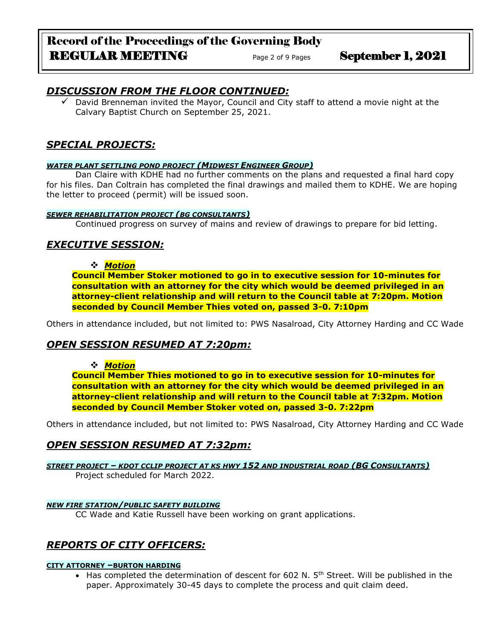# Record of the Proceedings of the Governing Body REGULAR MEETING Page 2 of 9 Pages September 1, 2021

# *DISCUSSION FROM THE FLOOR CONTINUED:*

David Brenneman invited the Mayor, Council and City staff to attend a movie night at the Calvary Baptist Church on September 25, 2021.

# *SPECIAL PROJECTS:*

## *WATER PLANT SETTLING POND PROJECT (MIDWEST ENGINEER GROUP)*

Dan Claire with KDHE had no further comments on the plans and requested a final hard copy for his files. Dan Coltrain has completed the final drawings and mailed them to KDHE. We are hoping the letter to proceed (permit) will be issued soon.

## *SEWER REHABILITATION PROJECT (BG CONSULTANTS)*

Continued progress on survey of mains and review of drawings to prepare for bid letting.

# *EXECUTIVE SESSION:*

## ❖ *Motion*

**Council Member Stoker motioned to go in to executive session for 10-minutes for consultation with an attorney for the city which would be deemed privileged in an attorney-client relationship and will return to the Council table at 7:20pm. Motion seconded by Council Member Thies voted on, passed 3-0. 7:10pm** 

Others in attendance included, but not limited to: PWS Nasalroad, City Attorney Harding and CC Wade

# *OPEN SESSION RESUMED AT 7:20pm:*

## ❖ *Motion*

**Council Member Thies motioned to go in to executive session for 10-minutes for consultation with an attorney for the city which would be deemed privileged in an attorney-client relationship and will return to the Council table at 7:32pm. Motion seconded by Council Member Stoker voted on, passed 3-0. 7:22pm** 

Others in attendance included, but not limited to: PWS Nasalroad, City Attorney Harding and CC Wade

# *OPEN SESSION RESUMED AT 7:32pm:*

*STREET PROJECT – KDOT CCLIP PROJECT AT KS HWY 152 AND INDUSTRIAL ROAD (BG CONSULTANTS)* Project scheduled for March 2022.

## *NEW FIRE STATION/PUBLIC SAFETY BUILDING*

CC Wade and Katie Russell have been working on grant applications.

# *REPORTS OF CITY OFFICERS:*

## **CITY ATTORNEY –BURTON HARDING**

• Has completed the determination of descent for 602 N.  $5<sup>th</sup>$  Street. Will be published in the paper. Approximately 30-45 days to complete the process and quit claim deed.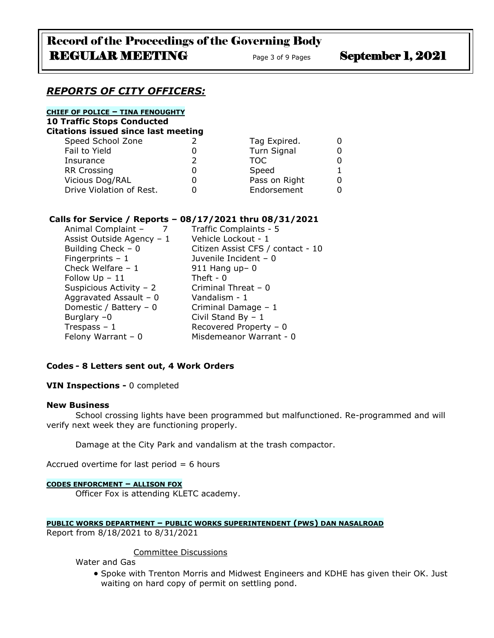## *REPORTS OF CITY OFFICERS:*

#### **CHIEF OF POLICE – TINA FENOUGHTY**

**10 Traffic Stops Conducted**

|  |  | Citations issued since last meeting |
|--|--|-------------------------------------|

| Speed School Zone        | Tag Expired.  |  |
|--------------------------|---------------|--|
| Fail to Yield            | Turn Signal   |  |
| Insurance                | TOC.          |  |
| <b>RR Crossing</b>       | Speed         |  |
| Vicious Dog/RAL          | Pass on Right |  |
| Drive Violation of Rest. | Endorsement   |  |
|                          |               |  |

## **Calls for Service / Reports – 08/17/2021 thru 08/31/2021**

| Animal Complaint -        | Traffic Complaints - 5            |
|---------------------------|-----------------------------------|
| Assist Outside Agency - 1 | Vehicle Lockout - 1               |
| Building Check $-0$       | Citizen Assist CFS / contact - 10 |
| Fingerprints $-1$         | Juvenile Incident - 0             |
| Check Welfare $-1$        | $911$ Hang up- 0                  |
| Follow $Up - 11$          | Theft - $0$                       |
| Suspicious Activity - 2   | Criminal Threat - 0               |
| Aggravated Assault - $0$  | Vandalism - 1                     |
| Domestic / Battery - 0    | Criminal Damage - 1               |
| Burglary $-0$             | Civil Stand By $-1$               |
| Trespass $-1$             | Recovered Property - 0            |
| Felony Warrant $-0$       | Misdemeanor Warrant - 0           |

## **Codes - 8 Letters sent out, 4 Work Orders**

**VIN Inspections -** 0 completed

#### **New Business**

School crossing lights have been programmed but malfunctioned. Re-programmed and will verify next week they are functioning properly.

Damage at the City Park and vandalism at the trash compactor.

Accrued overtime for last period  $= 6$  hours

#### **CODES ENFORCMENT – ALLISON FOX**

Officer Fox is attending KLETC academy.

#### **PUBLIC WORKS DEPARTMENT – PUBLIC WORKS SUPERINTENDENT (PWS) DAN NASALROAD**

Report from 8/18/2021 to 8/31/2021

#### Committee Discussions

Water and Gas

• Spoke with Trenton Morris and Midwest Engineers and KDHE has given their OK. Just waiting on hard copy of permit on settling pond.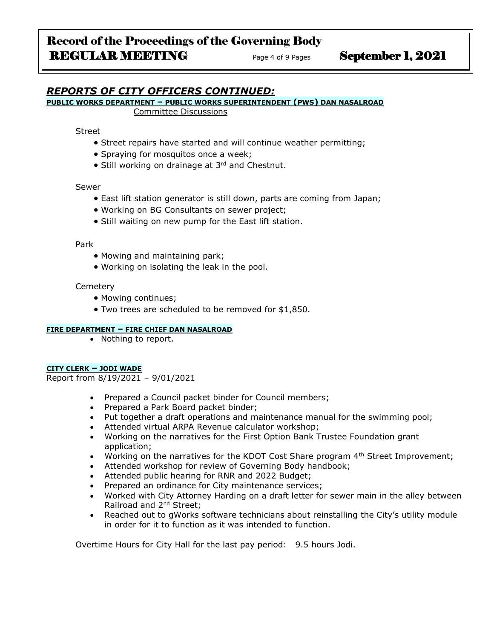# *REPORTS OF CITY OFFICERS CONTINUED:*

# **PUBLIC WORKS DEPARTMENT – PUBLIC WORKS SUPERINTENDENT (PWS) DAN NASALROAD**

Committee Discussions

Street

- Street repairs have started and will continue weather permitting;
- Spraying for mosquitos once a week;
- Still working on drainage at 3<sup>rd</sup> and Chestnut.

Sewer

- East lift station generator is still down, parts are coming from Japan;
- Working on BG Consultants on sewer project;
- Still waiting on new pump for the East lift station.

Park

- Mowing and maintaining park;
- Working on isolating the leak in the pool.

**Cemetery** 

- Mowing continues;
- Two trees are scheduled to be removed for \$1,850.

#### **FIRE DEPARTMENT – FIRE CHIEF DAN NASALROAD**

• Nothing to report.

#### **CITY CLERK – JODI WADE**

Report from 8/19/2021 – 9/01/2021

- Prepared a Council packet binder for Council members;
- Prepared a Park Board packet binder;
- Put together a draft operations and maintenance manual for the swimming pool;
- Attended virtual ARPA Revenue calculator workshop;
- Working on the narratives for the First Option Bank Trustee Foundation grant application;
- Working on the narratives for the KDOT Cost Share program  $4<sup>th</sup>$  Street Improvement;
- Attended workshop for review of Governing Body handbook;
- Attended public hearing for RNR and 2022 Budget;
- Prepared an ordinance for City maintenance services;
- Worked with City Attorney Harding on a draft letter for sewer main in the alley between Railroad and 2nd Street;
- Reached out to gWorks software technicians about reinstalling the City's utility module in order for it to function as it was intended to function.

Overtime Hours for City Hall for the last pay period: 9.5 hours Jodi.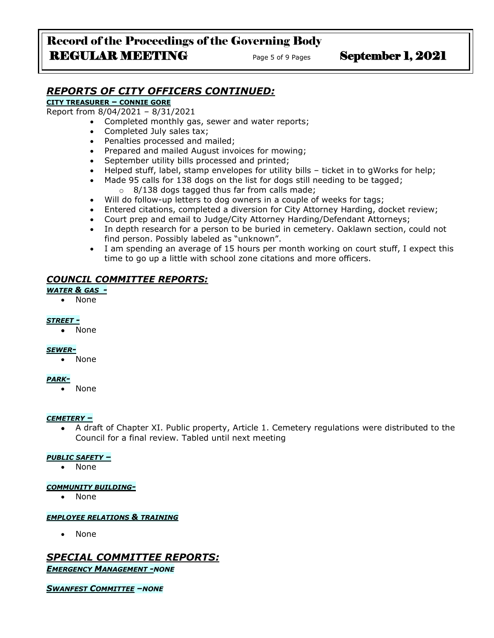# Record of the Proceedings of the Governing Body REGULAR MEETING Page 5 of 9 Pages September 1, 2021

# *REPORTS OF CITY OFFICERS CONTINUED:*

## **CITY TREASURER – CONNIE GORE**

Report from 8/04/2021 – 8/31/2021

- Completed monthly gas, sewer and water reports;
- Completed July sales tax;
- Penalties processed and mailed;
- Prepared and mailed August invoices for mowing;
- September utility bills processed and printed;
- Helped stuff, label, stamp envelopes for utility bills ticket in to gWorks for help;
- Made 95 calls for 138 dogs on the list for dogs still needing to be tagged; o 8/138 dogs tagged thus far from calls made;
- Will do follow-up letters to dog owners in a couple of weeks for tags;
- Entered citations, completed a diversion for City Attorney Harding, docket review;
- Court prep and email to Judge/City Attorney Harding/Defendant Attorneys;
- In depth research for a person to be buried in cemetery. Oaklawn section, could not find person. Possibly labeled as "unknown".
- I am spending an average of 15 hours per month working on court stuff, I expect this time to go up a little with school zone citations and more officers.

#### *COUNCIL COMMITTEE REPORTS:*

#### *WATER & GAS -*

• None

#### *STREET -*

• None

#### *SEWER-*

• None

#### *PARK-*

• None

#### *CEMETERY –*

• A draft of Chapter XI. Public property, Article 1. Cemetery regulations were distributed to the Council for a final review. Tabled until next meeting

#### *PUBLIC SAFETY –*

• None

#### *COMMUNITY BUILDING-*

• None

#### *EMPLOYEE RELATIONS & TRAINING*

• None

## *SPECIAL COMMITTEE REPORTS: EMERGENCY MANAGEMENT -NONE*

*SWANFEST COMMITTEE –NONE*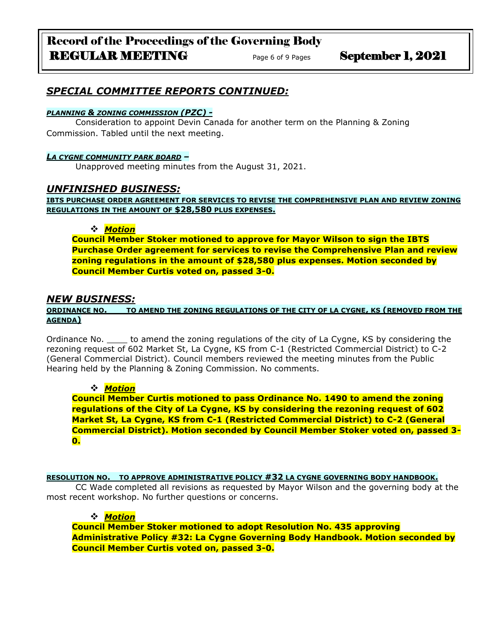# Record of the Proceedings of the Governing Body REGULAR MEETING<br>
Page 6 of 9 Pages<br>
September 1, 2021

# *SPECIAL COMMITTEE REPORTS CONTINUED:*

#### *PLANNING & ZONING COMMISSION (PZC) -*

Consideration to appoint Devin Canada for another term on the Planning & Zoning Commission. Tabled until the next meeting.

#### *LA CYGNE COMMUNITY PARK BOARD –*

Unapproved meeting minutes from the August 31, 2021.

## *UNFINISHED BUSINESS:*

**IBTS PURCHASE ORDER AGREEMENT FOR SERVICES TO REVISE THE COMPREHENSIVE PLAN AND REVIEW ZONING REGULATIONS IN THE AMOUNT OF \$28,580 PLUS EXPENSES.**

#### ❖ *Motion*

**Council Member Stoker motioned to approve for Mayor Wilson to sign the IBTS Purchase Order agreement for services to revise the Comprehensive Plan and review zoning regulations in the amount of \$28,580 plus expenses. Motion seconded by Council Member Curtis voted on, passed 3-0.**

## *NEW BUSINESS:*

#### **ORDINANCE NO. \_\_\_TO AMEND THE ZONING REGULATIONS OF THE CITY OF LA CYGNE, KS (REMOVED FROM THE AGENDA)**

Ordinance No. \_\_\_\_ to amend the zoning regulations of the city of La Cygne, KS by considering the rezoning request of 602 Market St, La Cygne, KS from C-1 (Restricted Commercial District) to C-2 (General Commercial District). Council members reviewed the meeting minutes from the Public Hearing held by the Planning & Zoning Commission. No comments.

## ❖ *Motion*

**Council Member Curtis motioned to pass Ordinance No. 1490 to amend the zoning regulations of the City of La Cygne, KS by considering the rezoning request of 602 Market St, La Cygne, KS from C-1 (Restricted Commercial District) to C-2 (General Commercial District). Motion seconded by Council Member Stoker voted on, passed 3- 0.**

#### **RESOLUTION NO. TO APPROVE ADMINISTRATIVE POLICY #32 LA CYGNE GOVERNING BODY HANDBOOK.**

CC Wade completed all revisions as requested by Mayor Wilson and the governing body at the most recent workshop. No further questions or concerns.

## ❖ *Motion*

**Council Member Stoker motioned to adopt Resolution No. 435 approving Administrative Policy #32: La Cygne Governing Body Handbook. Motion seconded by Council Member Curtis voted on, passed 3-0.**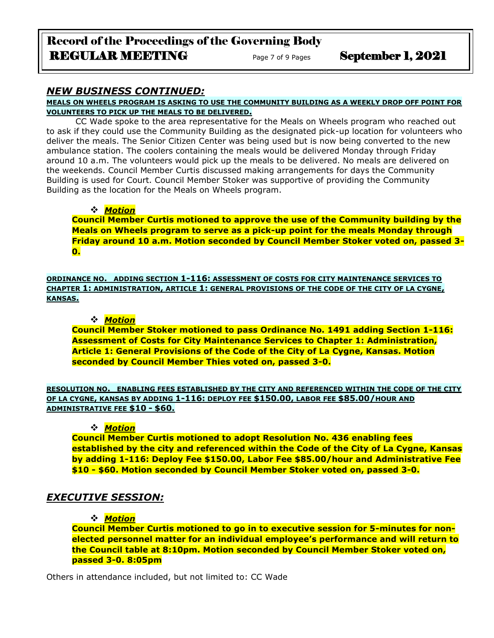## *NEW BUSINESS CONTINUED:*

**MEALS ON WHEELS PROGRAM IS ASKING TO USE THE COMMUNITY BUILDING AS A WEEKLY DROP OFF POINT FOR VOLUNTEERS TO PICK UP THE MEALS TO BE DELIVERED.**

CC Wade spoke to the area representative for the Meals on Wheels program who reached out to ask if they could use the Community Building as the designated pick-up location for volunteers who deliver the meals. The Senior Citizen Center was being used but is now being converted to the new ambulance station. The coolers containing the meals would be delivered Monday through Friday around 10 a.m. The volunteers would pick up the meals to be delivered. No meals are delivered on the weekends. Council Member Curtis discussed making arrangements for days the Community Building is used for Court. Council Member Stoker was supportive of providing the Community Building as the location for the Meals on Wheels program.

## ❖ *Motion*

**Council Member Curtis motioned to approve the use of the Community building by the Meals on Wheels program to serve as a pick-up point for the meals Monday through Friday around 10 a.m. Motion seconded by Council Member Stoker voted on, passed 3- 0.**

**ORDINANCE NO. ADDING SECTION 1-116: ASSESSMENT OF COSTS FOR CITY MAINTENANCE SERVICES TO CHAPTER 1: ADMINISTRATION, ARTICLE 1: GENERAL PROVISIONS OF THE CODE OF THE CITY OF LA CYGNE, KANSAS.**

### ❖ *Motion*

**Council Member Stoker motioned to pass Ordinance No. 1491 adding Section 1-116: Assessment of Costs for City Maintenance Services to Chapter 1: Administration, Article 1: General Provisions of the Code of the City of La Cygne, Kansas. Motion seconded by Council Member Thies voted on, passed 3-0.**

**RESOLUTION NO. ENABLING FEES ESTABLISHED BY THE CITY AND REFERENCED WITHIN THE CODE OF THE CITY OF LA CYGNE, KANSAS BY ADDING 1-116: DEPLOY FEE \$150.00, LABOR FEE \$85.00/HOUR AND ADMINISTRATIVE FEE \$10 - \$60.**

## ❖ *Motion*

**Council Member Curtis motioned to adopt Resolution No. 436 enabling fees established by the city and referenced within the Code of the City of La Cygne, Kansas by adding 1-116: Deploy Fee \$150.00, Labor Fee \$85.00/hour and Administrative Fee \$10 - \$60. Motion seconded by Council Member Stoker voted on, passed 3-0.**

# *EXECUTIVE SESSION:*

## ❖ *Motion*

**Council Member Curtis motioned to go in to executive session for 5-minutes for nonelected personnel matter for an individual employee's performance and will return to the Council table at 8:10pm. Motion seconded by Council Member Stoker voted on, passed 3-0. 8:05pm** 

Others in attendance included, but not limited to: CC Wade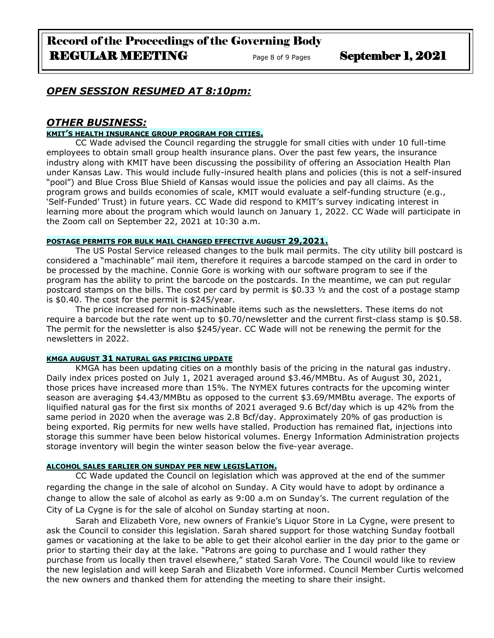## *OPEN SESSION RESUMED AT 8:10pm:*

## *OTHER BUSINESS:*

#### **KMIT'S HEALTH INSURANCE GROUP PROGRAM FOR CITIES.**

CC Wade advised the Council regarding the struggle for small cities with under 10 full-time employees to obtain small group health insurance plans. Over the past few years, the insurance industry along with KMIT have been discussing the possibility of offering an Association Health Plan under Kansas Law. This would include fully-insured health plans and policies (this is not a self-insured "pool") and Blue Cross Blue Shield of Kansas would issue the policies and pay all claims. As the program grows and builds economies of scale, KMIT would evaluate a self-funding structure (e.g., 'Self-Funded' Trust) in future years. CC Wade did respond to KMIT's survey indicating interest in learning more about the program which would launch on January 1, 2022. CC Wade will participate in the Zoom call on September 22, 2021 at 10:30 a.m.

#### **POSTAGE PERMITS FOR BULK MAIL CHANGED EFFECTIVE AUGUST 29,2021.**

The US Postal Service released changes to the bulk mail permits. The city utility bill postcard is considered a "machinable" mail item, therefore it requires a barcode stamped on the card in order to be processed by the machine. Connie Gore is working with our software program to see if the program has the ability to print the barcode on the postcards. In the meantime, we can put regular postcard stamps on the bills. The cost per card by permit is \$0.33 ½ and the cost of a postage stamp is \$0.40. The cost for the permit is \$245/year.

The price increased for non-machinable items such as the newsletters. These items do not require a barcode but the rate went up to \$0.70/newsletter and the current first-class stamp is \$0.58. The permit for the newsletter is also \$245/year. CC Wade will not be renewing the permit for the newsletters in 2022.

#### **KMGA AUGUST 31 NATURAL GAS PRICING UPDATE**

KMGA has been updating cities on a monthly basis of the pricing in the natural gas industry. Daily index prices posted on July 1, 2021 averaged around \$3.46/MMBtu. As of August 30, 2021, those prices have increased more than 15%. The NYMEX futures contracts for the upcoming winter season are averaging \$4.43/MMBtu as opposed to the current \$3.69/MMBtu average. The exports of liquified natural gas for the first six months of 2021 averaged 9.6 Bcf/day which is up 42% from the same period in 2020 when the average was 2.8 Bcf/day. Approximately 20% of gas production is being exported. Rig permits for new wells have stalled. Production has remained flat, injections into storage this summer have been below historical volumes. Energy Information Administration projects storage inventory will begin the winter season below the five-year average.

## **ALCOHOL SALES EARLIER ON SUNDAY PER NEW LEGISLATION.**

CC Wade updated the Council on legislation which was approved at the end of the summer regarding the change in the sale of alcohol on Sunday. A City would have to adopt by ordinance a change to allow the sale of alcohol as early as 9:00 a.m on Sunday's. The current regulation of the City of La Cygne is for the sale of alcohol on Sunday starting at noon.

Sarah and Elizabeth Vore, new owners of Frankie's Liquor Store in La Cygne, were present to ask the Council to consider this legislation. Sarah shared support for those watching Sunday football games or vacationing at the lake to be able to get their alcohol earlier in the day prior to the game or prior to starting their day at the lake. "Patrons are going to purchase and I would rather they purchase from us locally then travel elsewhere," stated Sarah Vore. The Council would like to review the new legislation and will keep Sarah and Elizabeth Vore informed. Council Member Curtis welcomed the new owners and thanked them for attending the meeting to share their insight.